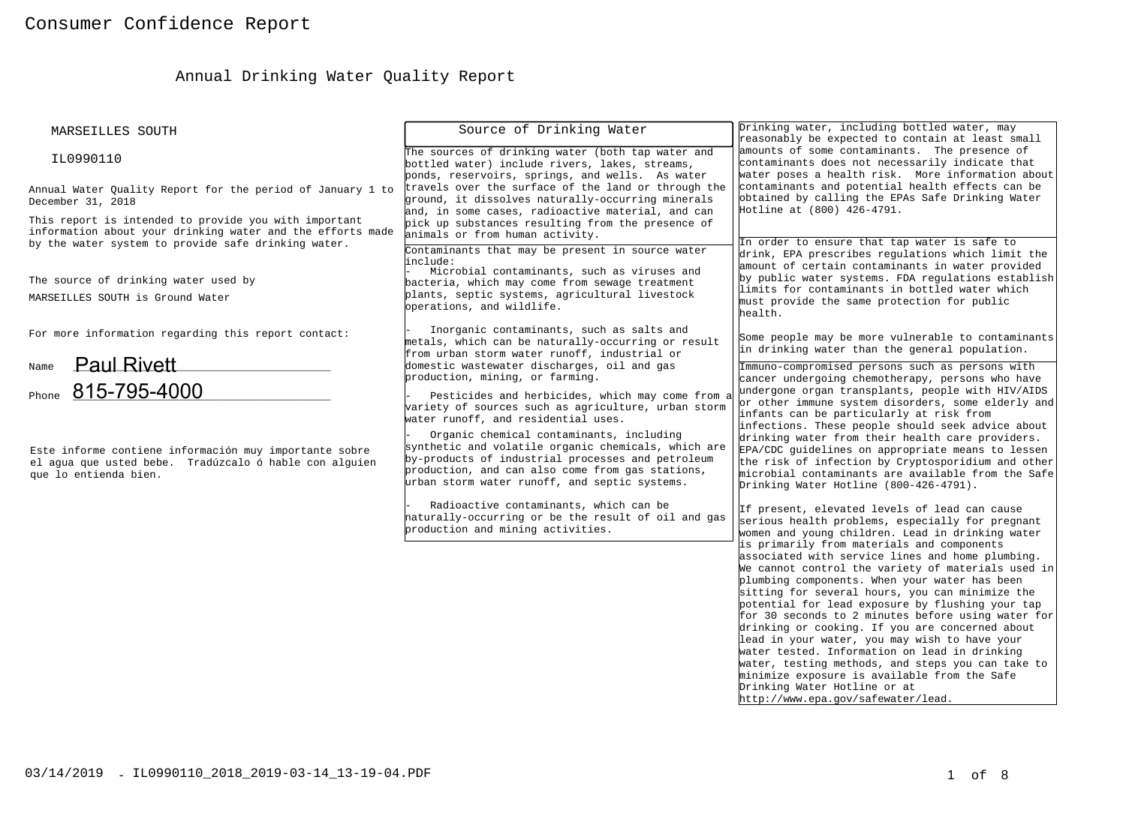# Annual Drinking Water Quality Report

| MARSEILLES SOUTH                                                                                                                                                           | Source of Drinking Water                                                                                                                                                                                                                                  | Drinking water, including bottled water, may<br>reasonably be expected to contain at least small                                                                                                                                                                                                                                                                                                                                                                                                                                                                                                                                                                                                   |
|----------------------------------------------------------------------------------------------------------------------------------------------------------------------------|-----------------------------------------------------------------------------------------------------------------------------------------------------------------------------------------------------------------------------------------------------------|----------------------------------------------------------------------------------------------------------------------------------------------------------------------------------------------------------------------------------------------------------------------------------------------------------------------------------------------------------------------------------------------------------------------------------------------------------------------------------------------------------------------------------------------------------------------------------------------------------------------------------------------------------------------------------------------------|
| IL0990110                                                                                                                                                                  | The sources of drinking water (both tap water and<br>bottled water) include rivers, lakes, streams,<br>ponds, reservoirs, springs, and wells. As water                                                                                                    | amounts of some contaminants. The presence of<br>contaminants does not necessarily indicate that<br>water poses a health risk. More information about                                                                                                                                                                                                                                                                                                                                                                                                                                                                                                                                              |
| Annual Water Quality Report for the period of January 1 to<br>December 31, 2018                                                                                            | travels over the surface of the land or through the<br>ground, it dissolves naturally-occurring minerals<br>and, in some cases, radioactive material, and can                                                                                             | contaminants and potential health effects can be<br>obtained by calling the EPAs Safe Drinking Water<br>Hotline at (800) 426-4791.                                                                                                                                                                                                                                                                                                                                                                                                                                                                                                                                                                 |
| This report is intended to provide you with important<br>information about your drinking water and the efforts made<br>by the water system to provide safe drinking water. | pick up substances resulting from the presence of<br>animals or from human activity.<br>Contaminants that may be present in source water                                                                                                                  | In order to ensure that tap water is safe to                                                                                                                                                                                                                                                                                                                                                                                                                                                                                                                                                                                                                                                       |
| The source of drinking water used by<br>MARSEILLES SOUTH is Ground Water                                                                                                   | include:<br>Microbial contaminants, such as viruses and<br>bacteria, which may come from sewage treatment<br>plants, septic systems, agricultural livestock<br>operations, and wildlife.                                                                  | drink, EPA prescribes regulations which limit the<br>amount of certain contaminants in water provided<br>by public water systems. FDA regulations establish<br>limits for contaminants in bottled water which<br>must provide the same protection for public<br>health.                                                                                                                                                                                                                                                                                                                                                                                                                            |
| For more information regarding this report contact:                                                                                                                        | Inorganic contaminants, such as salts and<br>metals, which can be naturally-occurring or result<br>from urban storm water runoff, industrial or                                                                                                           | Some people may be more vulnerable to contaminants<br>in drinking water than the general population.                                                                                                                                                                                                                                                                                                                                                                                                                                                                                                                                                                                               |
| <b>Paul Rivett</b><br>Name<br>Phone 815-795-4000                                                                                                                           | domestic wastewater discharges, oil and gas<br>production, mining, or farming.<br>Pesticides and herbicides, which may come from a<br>variety of sources such as agriculture, urban storm<br>water runoff, and residential uses.                          | Immuno-compromised persons such as persons with<br>cancer undergoing chemotherapy, persons who have<br>undergone organ transplants, people with HIV/AIDS<br>or other immune system disorders, some elderly and<br>infants can be particularly at risk from                                                                                                                                                                                                                                                                                                                                                                                                                                         |
| Este informe contiene información muy importante sobre<br>el agua que usted bebe. Tradúzcalo ó hable con alguien<br>que lo entienda bien.                                  | Organic chemical contaminants, including<br>synthetic and volatile organic chemicals, which are<br>by-products of industrial processes and petroleum<br>production, and can also come from gas stations,<br>urban storm water runoff, and septic systems. | infections. These people should seek advice about<br>drinking water from their health care providers.<br>EPA/CDC guidelines on appropriate means to lessen<br>the risk of infection by Cryptosporidium and other<br>microbial contaminants are available from the Safe<br>Drinking Water Hotline (800-426-4791).                                                                                                                                                                                                                                                                                                                                                                                   |
|                                                                                                                                                                            | Radioactive contaminants, which can be<br>haturally-occurring or be the result of oil and gas<br>production and mining activities.                                                                                                                        | If present, elevated levels of lead can cause<br>serious health problems, especially for pregnant<br>women and young children. Lead in drinking water                                                                                                                                                                                                                                                                                                                                                                                                                                                                                                                                              |
|                                                                                                                                                                            |                                                                                                                                                                                                                                                           | is primarily from materials and components<br>associated with service lines and home plumbing.<br>We cannot control the variety of materials used in<br>plumbing components. When your water has been<br>sitting for several hours, you can minimize the<br>potential for lead exposure by flushing your tap<br>for 30 seconds to 2 minutes before using water for<br>drinking or cooking. If you are concerned about<br>lead in your water, you may wish to have your<br>water tested. Information on lead in drinking<br>water, testing methods, and steps you can take to<br>minimize exposure is available from the Safe<br>Drinking Water Hotline or at<br>http://www.epa.gov/safewater/lead. |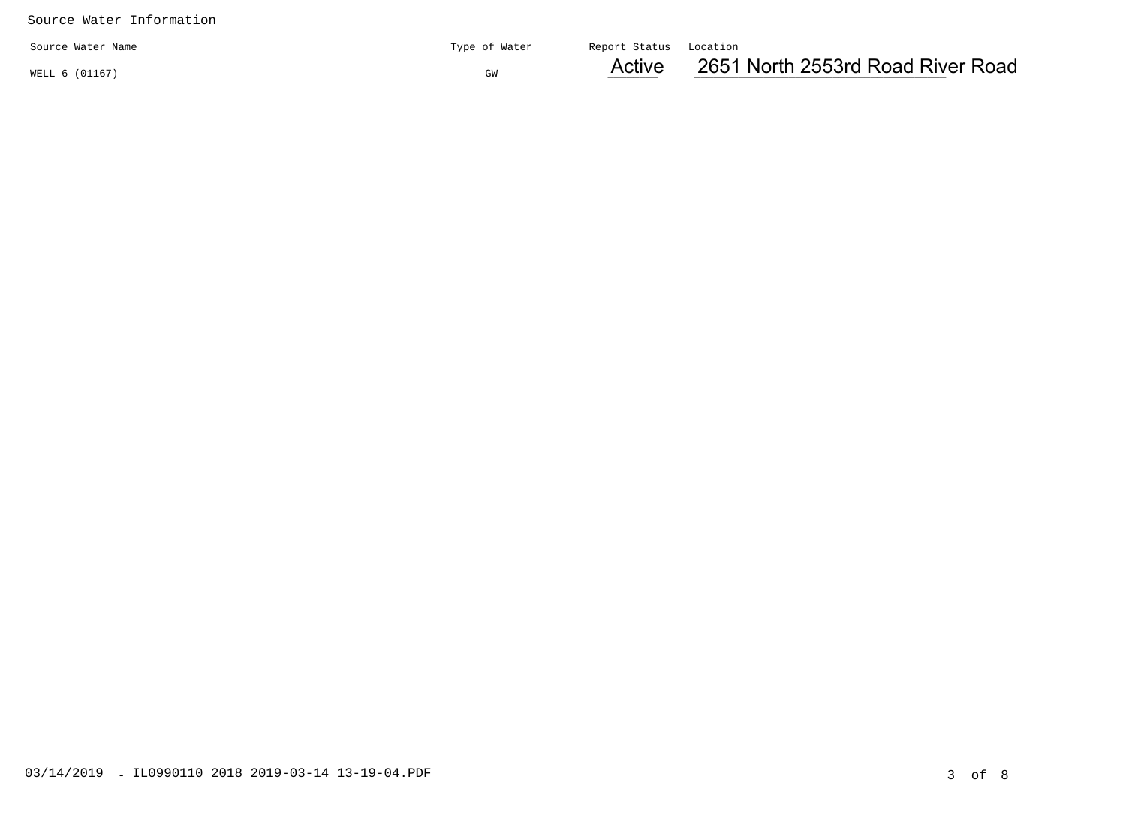|                   |               | $A$ other              | 2651 |
|-------------------|---------------|------------------------|------|
| Source Water Name | Type of Water | Report Status Location |      |

WELL 6 (01167)

Active

 $G_{\mathbb{G}_N}$  and  $G_{\mathbb{G}_N}$  and  $\mathbb{A}$  and  $\mathbb{A}$  and  $\mathbb{A}$  and  $\mathbb{A}$  and  $\mathbb{A}$  and  $\mathbb{A}$  and  $\mathbb{A}$  and  $\mathbb{A}$  and  $\mathbb{A}$  and  $\mathbb{A}$  and  $\mathbb{A}$  and  $\mathbb{A}$  and  $\mathbb{A}$  and  $\mathbb{A}$  and  $\mathbb{$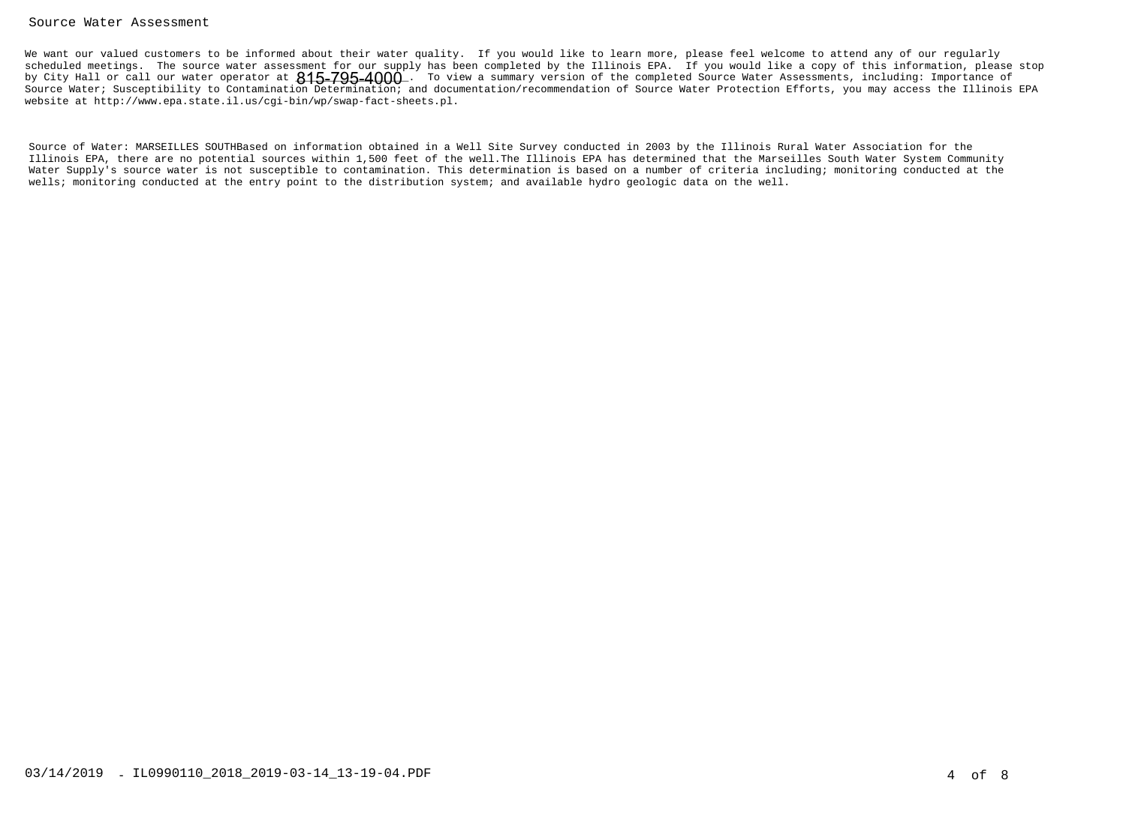#### Source Water Assessment

We want our valued customers to be informed about their water quality. If you would like to learn more, please feel welcome to attend any of our regularly scheduled meetings. The source water assessment for our supply has been completed by the Illinois EPA. If you would like a copy of this information, please stopby City Hall or call our water operator at  $815\text{--}795\text{--}4000$  . To view a summary version of the completed Source Water Assessments, including: Importance of Source Water; Susceptibility to Contamination Determination; and documentation/recommendation of Source Water Protection Efforts, you may access the Illinois EPAwebsite at http://www.epa.state.il.us/cgi-bin/wp/swap-fact-sheets.pl.

Source of Water: MARSEILLES SOUTHBased on information obtained in a Well Site Survey conducted in 2003 by the Illinois Rural Water Association for the Illinois EPA, there are no potential sources within 1,500 feet of the well.The Illinois EPA has determined that the Marseilles South Water System Community Water Supply's source water is not susceptible to contamination. This determination is based on a number of criteria including; monitoring conducted at thewells; monitoring conducted at the entry point to the distribution system; and available hydro geologic data on the well.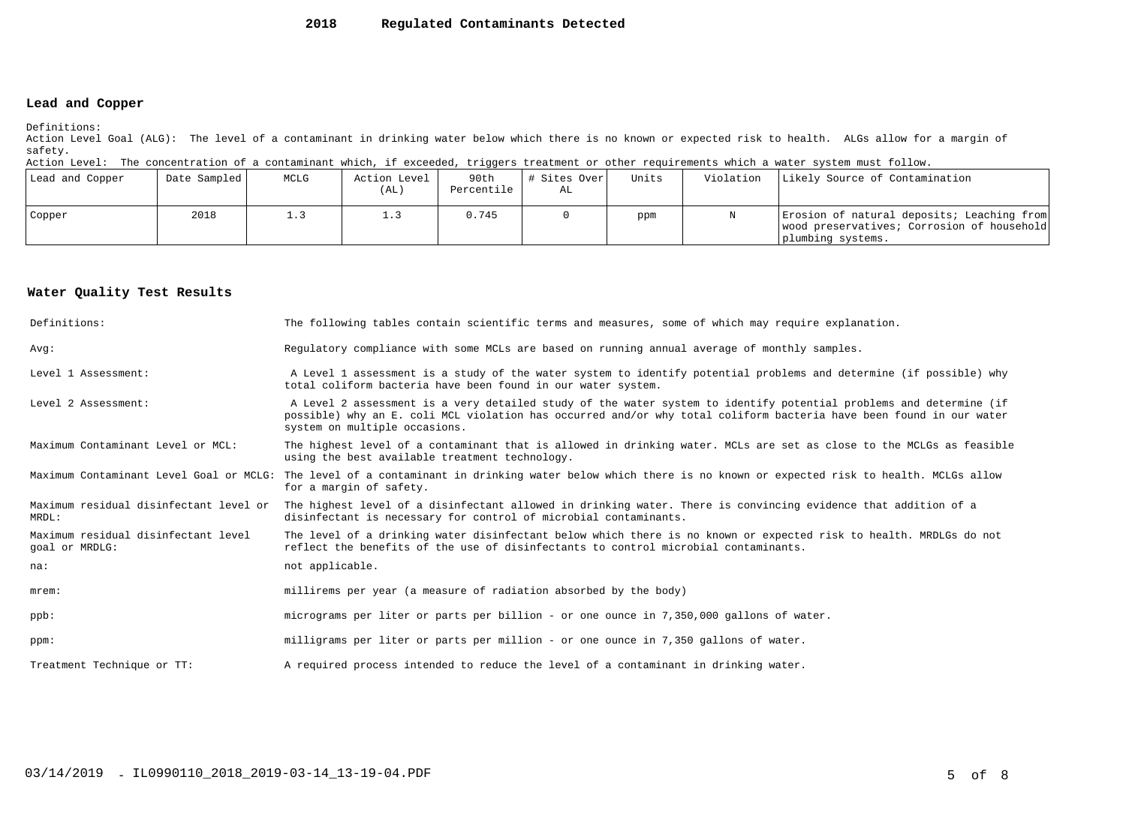#### **2018Regulated Contaminants Detected**

### **Lead and Copper**

Definitions:

 Action Level Goal (ALG): The level of a contaminant in drinking water below which there is no known or expected risk to health. ALGs allow for a margin ofsafety.

Action Level: The concentration of a contaminant which, if exceeded, triggers treatment or other requirements which a water system must follow.

| Lead and Copper | Date Sampled | MCLG | Action Level<br>(AL) | 90th<br>Percentile | # Sites Over<br>AL | Units | Violation | Likely Source of Contamination                                                                                |
|-----------------|--------------|------|----------------------|--------------------|--------------------|-------|-----------|---------------------------------------------------------------------------------------------------------------|
| Copper          | 2018         |      |                      | 0.745              |                    | ppm   |           | Erosion of natural deposits; Leaching from<br>wood preservatives; Corrosion of household<br>plumbing systems. |

#### **Water Quality Test Results**

| Definitions:                                          | The following tables contain scientific terms and measures, some of which may require explanation.                                                                                                                                                                         |
|-------------------------------------------------------|----------------------------------------------------------------------------------------------------------------------------------------------------------------------------------------------------------------------------------------------------------------------------|
| Avq:                                                  | Requiatory compliance with some MCLs are based on running annual average of monthly samples.                                                                                                                                                                               |
| Level 1 Assessment:                                   | A Level 1 assessment is a study of the water system to identify potential problems and determine (if possible) why<br>total coliform bacteria have been found in our water system.                                                                                         |
| Level 2 Assessment:                                   | A Level 2 assessment is a very detailed study of the water system to identify potential problems and determine (if<br>possible) why an E. coli MCL violation has occurred and/or why total coliform bacteria have been found in our water<br>system on multiple occasions. |
| Maximum Contaminant Level or MCL:                     | The highest level of a contaminant that is allowed in drinking water. MCLs are set as close to the MCLGs as feasible<br>using the best available treatment technology.                                                                                                     |
|                                                       | Maximum Contaminant Level Goal or MCLG: The level of a contaminant in drinking water below which there is no known or expected risk to health. MCLGs allow<br>for a margin of safety.                                                                                      |
| Maximum residual disinfectant level or<br>MRDL:       | The highest level of a disinfectant allowed in drinking water. There is convincing evidence that addition of a<br>disinfectant is necessary for control of microbial contaminants.                                                                                         |
| Maximum residual disinfectant level<br>goal or MRDLG: | The level of a drinking water disinfectant below which there is no known or expected risk to health. MRDLGs do not<br>reflect the benefits of the use of disinfectants to control microbial contaminants.                                                                  |
| na:                                                   | not applicable.                                                                                                                                                                                                                                                            |
| $m$ rem:                                              | millirems per year (a measure of radiation absorbed by the body)                                                                                                                                                                                                           |
| $ppb$ :                                               | micrograms per liter or parts per billion - or one ounce in 7,350,000 gallons of water.                                                                                                                                                                                    |
| ppm:                                                  | milligrams per liter or parts per million - or one ounce in 7,350 gallons of water.                                                                                                                                                                                        |
| Treatment Technique or TT:                            | A required process intended to reduce the level of a contaminant in drinking water.                                                                                                                                                                                        |